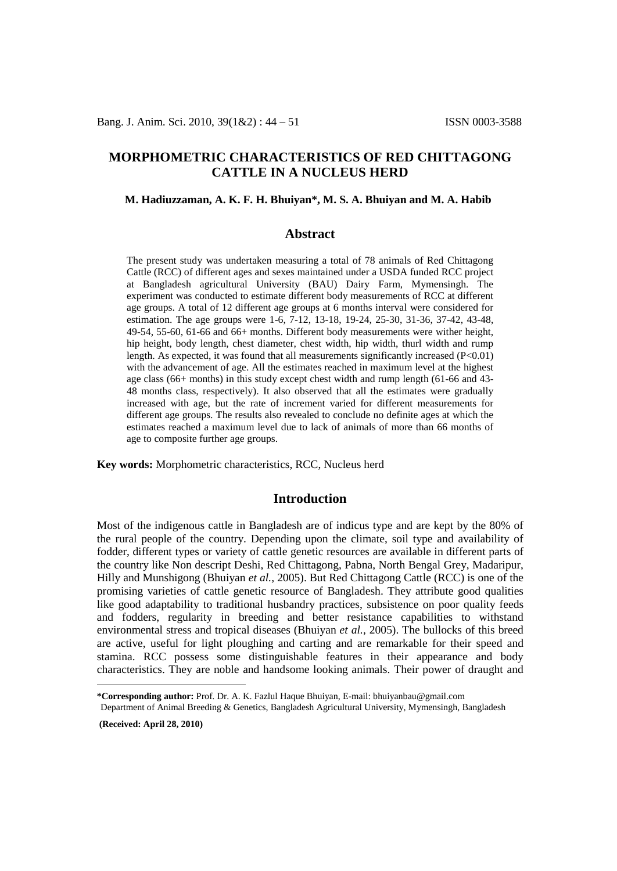# **MORPHOMETRIC CHARACTERISTICS OF RED CHITTAGONG CATTLE IN A NUCLEUS HERD**

### **M. Hadiuzzaman, A. K. F. H. Bhuiyan\*, M. S. A. Bhuiyan and M. A. Habib[1](#page-0-0)**

# **Abstract**

The present study was undertaken measuring a total of 78 animals of Red Chittagong Cattle (RCC) of different ages and sexes maintained under a USDA funded RCC project at Bangladesh agricultural University (BAU) Dairy Farm, Mymensingh. The experiment was conducted to estimate different body measurements of RCC at different age groups. A total of 12 different age groups at 6 months interval were considered for estimation. The age groups were 1-6, 7-12, 13-18, 19-24, 25-30, 31-36, 37-42, 43-48, 49-54, 55-60, 61-66 and 66+ months. Different body measurements were wither height, hip height, body length, chest diameter, chest width, hip width, thurl width and rump length. As expected, it was found that all measurements significantly increased (P<0.01) with the advancement of age. All the estimates reached in maximum level at the highest age class (66+ months) in this study except chest width and rump length (61-66 and 43- 48 months class, respectively). It also observed that all the estimates were gradually increased with age, but the rate of increment varied for different measurements for different age groups. The results also revealed to conclude no definite ages at which the estimates reached a maximum level due to lack of animals of more than 66 months of age to composite further age groups.

**Key words:** Morphometric characteristics, RCC, Nucleus herd

### **Introduction**

Most of the indigenous cattle in Bangladesh are of indicus type and are kept by the 80% of the rural people of the country. Depending upon the climate, soil type and availability of fodder, different types or variety of cattle genetic resources are available in different parts of the country like Non descript Deshi, Red Chittagong, Pabna, North Bengal Grey, Madaripur, Hilly and Munshigong (Bhuiyan *et al.,* 2005). But Red Chittagong Cattle (RCC) is one of the promising varieties of cattle genetic resource of Bangladesh. They attribute good qualities like good adaptability to traditional husbandry practices, subsistence on poor quality feeds and fodders, regularity in breeding and better resistance capabilities to withstand environmental stress and tropical diseases (Bhuiyan *et al.,* 2005). The bullocks of this breed are active, useful for light ploughing and carting and are remarkable for their speed and stamina. RCC possess some distinguishable features in their appearance and body characteristics. They are noble and handsome looking animals. Their power of draught and

**(Received: April 28, 2010)**

 $\overline{a}$ 

<span id="page-0-0"></span>**<sup>\*</sup>Corresponding author:** Prof. Dr. A. K. Fazlul Haque Bhuiyan, E-mail: bhuiyanbau@gmail.com

Department of Animal Breeding & Genetics, Bangladesh Agricultural University, Mymensingh, Bangladesh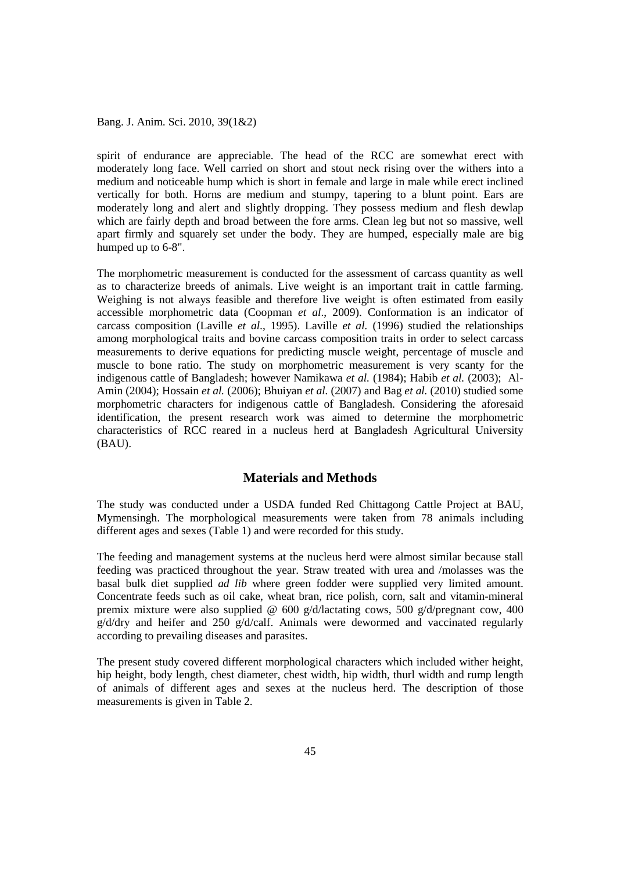spirit of endurance are appreciable. The head of the RCC are somewhat erect with moderately long face. Well carried on short and stout neck rising over the withers into a medium and noticeable hump which is short in female and large in male while erect inclined vertically for both. Horns are medium and stumpy, tapering to a blunt point. Ears are moderately long and alert and slightly dropping. They possess medium and flesh dewlap which are fairly depth and broad between the fore arms. Clean leg but not so massive, well apart firmly and squarely set under the body. They are humped, especially male are big humped up to 6-8".

The morphometric measurement is conducted for the assessment of carcass quantity as well as to characterize breeds of animals. Live weight is an important trait in cattle farming. Weighing is not always feasible and therefore live weight is often estimated from easily accessible morphometric data (Coopman *et al*., 2009). Conformation is an indicator of carcass composition (Laville *et al*., 1995). Laville *et al.* (1996) studied the relationships among morphological traits and bovine carcass composition traits in order to select carcass measurements to derive equations for predicting muscle weight, percentage of muscle and muscle to bone ratio. The study on morphometric measurement is very scanty for the indigenous cattle of Bangladesh; however Namikawa *et al.* (1984); Habib *et al.* (2003); Al-Amin (2004); Hossain *et al.* (2006); Bhuiyan *et al.* (2007) and Bag *et al.* (2010) studied some morphometric characters for indigenous cattle of Bangladesh. Considering the aforesaid identification, the present research work was aimed to determine the morphometric characteristics of RCC reared in a nucleus herd at Bangladesh Agricultural University (BAU).

### **Materials and Methods**

The study was conducted under a USDA funded Red Chittagong Cattle Project at BAU, Mymensingh. The morphological measurements were taken from 78 animals including different ages and sexes (Table 1) and were recorded for this study.

The feeding and management systems at the nucleus herd were almost similar because stall feeding was practiced throughout the year. Straw treated with urea and /molasses was the basal bulk diet supplied *ad lib* where green fodder were supplied very limited amount. Concentrate feeds such as oil cake, wheat bran, rice polish, corn, salt and vitamin-mineral premix mixture were also supplied  $\omega$  600 g/d/lactating cows, 500 g/d/pregnant cow, 400 g/d/dry and heifer and 250 g/d/calf. Animals were dewormed and vaccinated regularly according to prevailing diseases and parasites.

The present study covered different morphological characters which included wither height, hip height, body length, chest diameter, chest width, hip width, thurl width and rump length of animals of different ages and sexes at the nucleus herd. The description of those measurements is given in Table 2.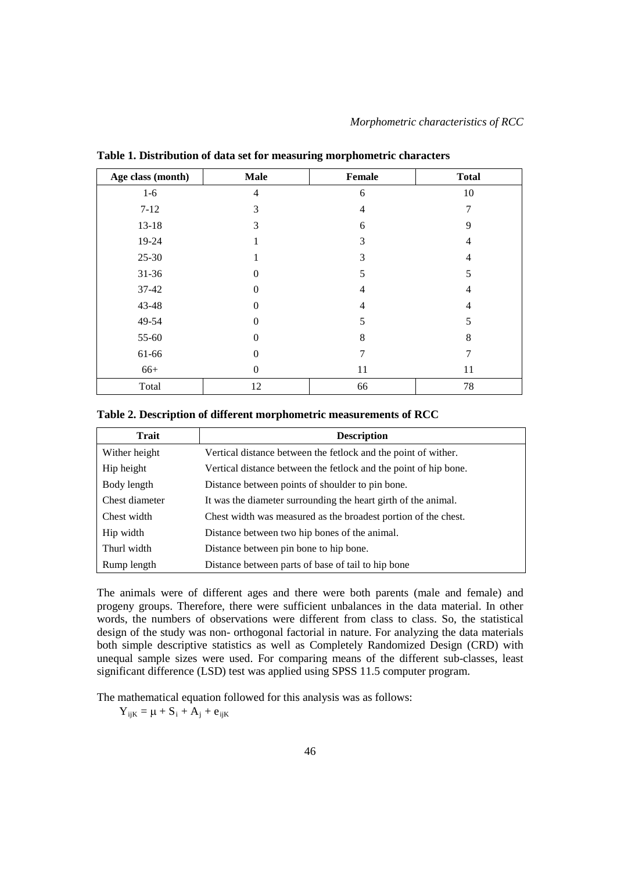| Age class (month) | <b>Male</b> | Female         | <b>Total</b>   |  |
|-------------------|-------------|----------------|----------------|--|
| $1-6$             | 4           | 6              | 10             |  |
| $7 - 12$          | 3           | 4              | 7              |  |
| $13 - 18$         | 3           | 6              | 9              |  |
| 19-24             | 1           | 3              | $\overline{4}$ |  |
| 25-30             |             | 3              | $\overline{4}$ |  |
| 31-36             | 0           | 5              | 5              |  |
| 37-42             | $\theta$    | 4              | $\overline{4}$ |  |
| 43-48             | 0           | $\overline{4}$ | $\overline{4}$ |  |
| 49-54             | 0           | 5              | 5              |  |
| 55-60             | $\theta$    | 8              | 8              |  |
| 61-66             | 0           | 7              | 7              |  |
| $66+$             | 0           | 11             | 11             |  |
| Total             | 12          | 66             | 78             |  |

**Table 1. Distribution of data set for measuring morphometric characters**

#### **Table 2. Description of different morphometric measurements of RCC**

| Trait          | <b>Description</b>                                               |
|----------------|------------------------------------------------------------------|
| Wither height  | Vertical distance between the fetlock and the point of wither.   |
| Hip height     | Vertical distance between the fetlock and the point of hip bone. |
| Body length    | Distance between points of shoulder to pin bone.                 |
| Chest diameter | It was the diameter surrounding the heart girth of the animal.   |
| Chest width    | Chest width was measured as the broadest portion of the chest.   |
| Hip width      | Distance between two hip bones of the animal.                    |
| Thurl width    | Distance between pin bone to hip bone.                           |
| Rump length    | Distance between parts of base of tail to hip bone               |

The animals were of different ages and there were both parents (male and female) and progeny groups. Therefore, there were sufficient unbalances in the data material. In other words, the numbers of observations were different from class to class. So, the statistical design of the study was non- orthogonal factorial in nature. For analyzing the data materials both simple descriptive statistics as well as Completely Randomized Design (CRD) with unequal sample sizes were used. For comparing means of the different sub-classes, least significant difference (LSD) test was applied using SPSS 11.5 computer program.

The mathematical equation followed for this analysis was as follows:

 $Y_{ijk} = \mu + S_i + A_j + e_{ijk}$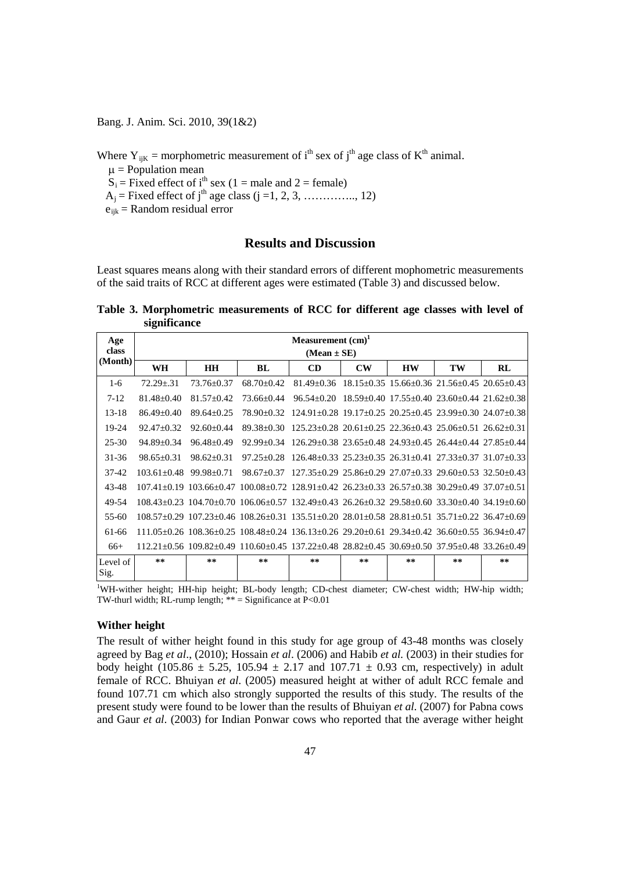Where  $Y_{ijk}$  = morphometric measurement of i<sup>th</sup> sex of j<sup>th</sup> age class of K<sup>th</sup> animal.

 $\mu$  = Population mean

 $S_i$  = Fixed effect of i<sup>th</sup> sex (1 = male and 2 = female)

- $A_i$  = Fixed effect of j<sup>th</sup> age class (j =1, 2, 3, ..............., 12)
- $e_{ijk}$  = Random residual error

# **Results and Discussion**

Least squares means along with their standard errors of different mophometric measurements of the said traits of RCC at different ages were estimated (Table 3) and discussed below.

**Table 3. Morphometric measurements of RCC for different age classes with level of significance**

| Age<br>class     | Measurement (cm) <sup>1</sup><br>$(Mean \pm SE)$ |                |                                                                                                                                             |                                                                             |               |           |    |    |  |
|------------------|--------------------------------------------------|----------------|---------------------------------------------------------------------------------------------------------------------------------------------|-----------------------------------------------------------------------------|---------------|-----------|----|----|--|
| (Month)          | <b>WH</b>                                        | <b>HH</b>      | BL                                                                                                                                          | CD                                                                          | $\mathbf{CW}$ | <b>HW</b> | TW | RL |  |
| $1-6$            | $72.29 + 31$                                     | $73.76 + 0.37$ | $68.70 + 0.42$                                                                                                                              | $81.49+0.36$ $18.15+0.35$ $15.66+0.36$ $21.56+0.45$ $20.65+0.43$            |               |           |    |    |  |
| $7 - 12$         | $81.48 + 0.40$                                   | $81.57 + 0.42$ | 73.66+0.44                                                                                                                                  | $96.54+0.20$ $18.59+0.40$ $17.55+0.40$ $23.60+0.44$ $21.62+0.38$            |               |           |    |    |  |
| $13 - 18$        | $86.49 + 0.40$                                   | $89.64 + 0.25$ | 78.90+0.32                                                                                                                                  | $124.91+0.28$ $19.17+0.25$ $20.25+0.45$ $23.99+0.30$ $24.07+0.38$           |               |           |    |    |  |
| 19-24            | $92.47 + 0.32$                                   | $92.60 + 0.44$ | $89.38 + 0.30$                                                                                                                              | $125.23+0.28$ $20.61+0.25$ $22.36+0.43$ $25.06+0.51$ $26.62+0.31$           |               |           |    |    |  |
| 25-30            | $94.89 \pm 0.34$                                 | $96.48 + 0.49$ | $92.99 + 0.34$                                                                                                                              | $126.29+0.38$ $23.65+0.48$ $24.93+0.45$ $26.44+0.44$ $27.85+0.44$           |               |           |    |    |  |
| $31 - 36$        | $98.65 + 0.31$                                   | $98.62 + 0.31$ | $97.25 + 0.28$                                                                                                                              | $126.48+0.33$ $25.23+0.35$ $26.31+0.41$ $27.33+0.37$ $31.07+0.33$           |               |           |    |    |  |
| $37-42$          | $103.61 + 0.48$                                  | 99.98+0.71     | $98.67 + 0.37$                                                                                                                              | $127.35\pm0.29$ $25.86\pm0.29$ $27.07\pm0.33$ $29.60\pm0.53$ $32.50\pm0.43$ |               |           |    |    |  |
| 43-48            |                                                  |                | $107.41+0.19$ $103.66+0.47$ $100.08+0.72$ $128.91+0.42$ $26.23+0.33$ $26.57+0.38$ $30.29+0.49$ $37.07+0.51$                                 |                                                                             |               |           |    |    |  |
| 49-54            |                                                  |                | 108.43+0.23 104.70+0.70 106.06+0.57 132.49+0.43 26.26+0.32 29.58+0.60 33.30+0.40 34.19+0.60                                                 |                                                                             |               |           |    |    |  |
| $55-60$          |                                                  |                | 108.57+0.29 107.23+0.46 108.26+0.31 135.51+0.20 28.01+0.58 28.81+0.51 35.71+0.22 36.47+0.69                                                 |                                                                             |               |           |    |    |  |
| 61-66            |                                                  |                | $111.05+0.26$ $108.36+0.25$ $108.48+0.24$ $136.13+0.26$ $29.20+0.61$ $29.34+0.42$ $36.60+0.55$ $36.94+0.47$                                 |                                                                             |               |           |    |    |  |
| $66+$            |                                                  |                | $112.21 \pm 0.56$ $109.82 \pm 0.49$ $110.60 \pm 0.45$ $137.22 \pm 0.48$ $28.82 \pm 0.45$ $30.69 \pm 0.50$ $37.95 \pm 0.48$ $33.26 \pm 0.49$ |                                                                             |               |           |    |    |  |
| Level of<br>Sig. | **                                               | **             | **                                                                                                                                          | **                                                                          | **            | **        | ** | ** |  |

1 WH-wither height; HH-hip height; BL-body length; CD-chest diameter; CW-chest width; HW-hip width; TW-thurl width; RL-rump length;  $**$  = Significance at P<0.01

#### **Wither height**

The result of wither height found in this study for age group of 43-48 months was closely agreed by Bag *et al*., (2010); Hossain *et al*. (2006) and Habib *et al.* (2003) in their studies for body height (105.86  $\pm$  5.25, 105.94  $\pm$  2.17 and 107.71  $\pm$  0.93 cm, respectively) in adult female of RCC. Bhuiyan *et al.* (2005) measured height at wither of adult RCC female and found 107.71 cm which also strongly supported the results of this study. The results of the present study were found to be lower than the results of Bhuiyan *et al.* (2007) for Pabna cows and Gaur *et al*. (2003) for Indian Ponwar cows who reported that the average wither height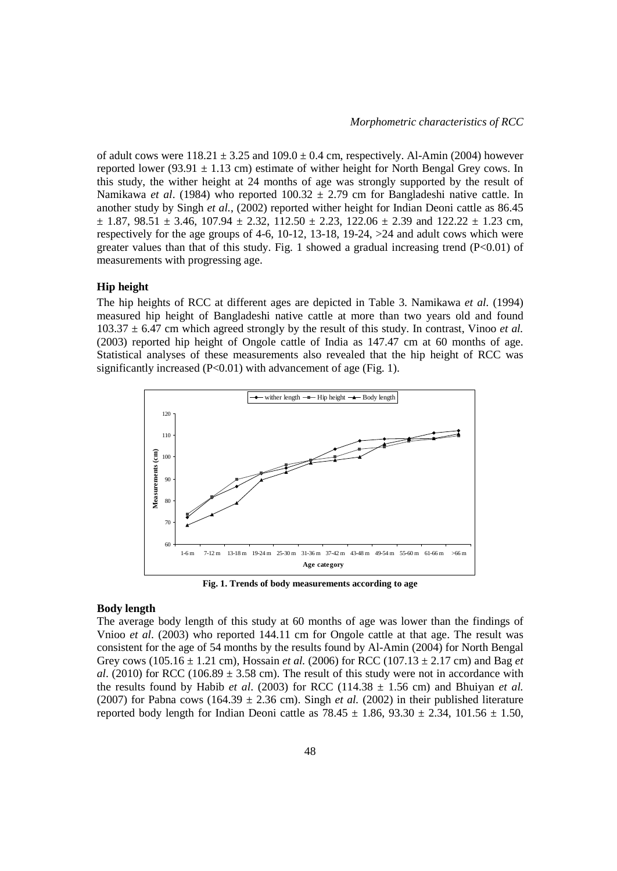of adult cows were  $118.21 \pm 3.25$  and  $109.0 \pm 0.4$  cm, respectively. Al-Amin (2004) however reported lower (93.91  $\pm$  1.13 cm) estimate of wither height for North Bengal Grey cows. In this study, the wither height at 24 months of age was strongly supported by the result of Namikawa *et al*. (1984) who reported 100.32 ± 2.79 cm for Bangladeshi native cattle. In another study by Singh *et al.*, (2002) reported wither height for Indian Deoni cattle as 86.45  $\pm$  1.87, 98.51  $\pm$  3.46, 107.94  $\pm$  2.32, 112.50  $\pm$  2.23, 122.06  $\pm$  2.39 and 122.22  $\pm$  1.23 cm, respectively for the age groups of 4-6,  $10-12$ ,  $13-18$ ,  $19-24$ ,  $>24$  and adult cows which were greater values than that of this study. Fig. 1 showed a gradual increasing trend  $(P<0.01)$  of measurements with progressing age.

### **Hip height**

The hip heights of RCC at different ages are depicted in Table 3. Namikawa *et al.* (1994) measured hip height of Bangladeshi native cattle at more than two years old and found  $103.37 \pm 6.47$  cm which agreed strongly by the result of this study. In contrast, Vinoo *et al.* (2003) reported hip height of Ongole cattle of India as 147.47 cm at 60 months of age. Statistical analyses of these measurements also revealed that the hip height of RCC was significantly increased  $(P<0.01)$  with advancement of age (Fig. 1).



**Fig. 1. Trends of body measurements according to age**

### **Body length**

The average body length of this study at 60 months of age was lower than the findings of Vnioo *et al*. (2003) who reported 144.11 cm for Ongole cattle at that age. The result was consistent for the age of 54 months by the results found by Al-Amin (2004) for North Bengal Grey cows (105.16 ± 1.21 cm), Hossain *et al.* (2006) for RCC (107.13 ± 2.17 cm) and Bag *et al*. (2010) for RCC (106.89  $\pm$  3.58 cm). The result of this study were not in accordance with the results found by Habib *et al.* (2003) for RCC (114.38  $\pm$  1.56 cm) and Bhuiyan *et al.* (2007) for Pabna cows (164.39  $\pm$  2.36 cm). Singh *et al.* (2002) in their published literature reported body length for Indian Deoni cattle as  $78.45 \pm 1.86$ ,  $93.30 \pm 2.34$ ,  $101.56 \pm 1.50$ ,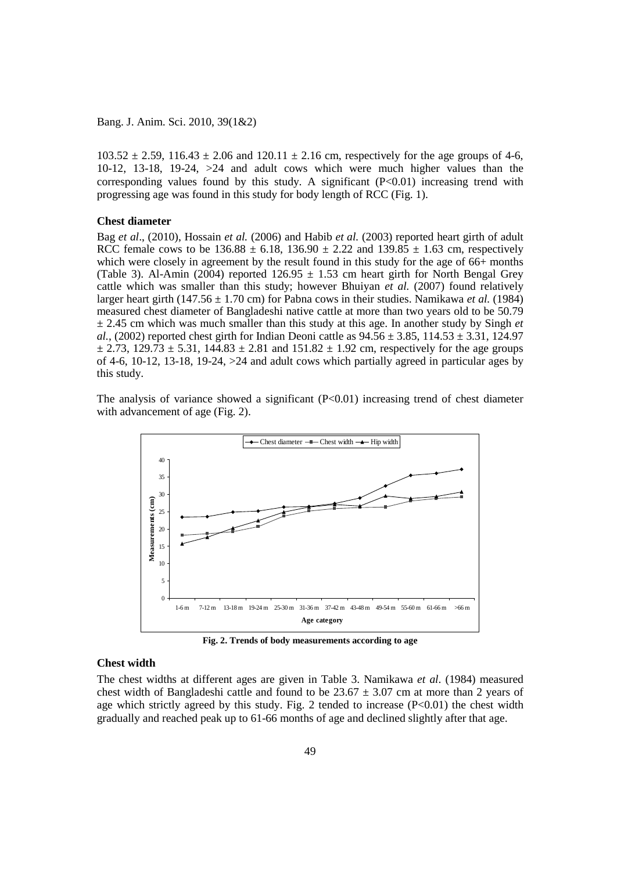$103.52 \pm 2.59$ ,  $116.43 \pm 2.06$  and  $120.11 \pm 2.16$  cm, respectively for the age groups of 4-6, 10-12, 13-18, 19-24, >24 and adult cows which were much higher values than the corresponding values found by this study. A significant (P<0.01) increasing trend with progressing age was found in this study for body length of RCC (Fig. 1).

### **Chest diameter**

Bag *et al*., (2010), Hossain *et al.* (2006) and Habib *et al.* (2003) reported heart girth of adult RCC female cows to be  $136.88 \pm 6.18$ ,  $136.90 \pm 2.22$  and  $139.85 \pm 1.63$  cm, respectively which were closely in agreement by the result found in this study for the age of 66+ months (Table 3). Al-Amin (2004) reported  $126.95 \pm 1.53$  cm heart girth for North Bengal Grey cattle which was smaller than this study; however Bhuiyan *et al.* (2007) found relatively larger heart girth (147.56  $\pm$  1.70 cm) for Pabna cows in their studies. Namikawa *et al.* (1984) measured chest diameter of Bangladeshi native cattle at more than two years old to be 50.79  $\pm$  2.45 cm which was much smaller than this study at this age. In another study by Singh *et al.*, (2002) reported chest girth for Indian Deoni cattle as  $94.56 \pm 3.85$ ,  $114.53 \pm 3.31$ ,  $124.97$  $\pm$  2.73, 129.73  $\pm$  5.31, 144.83  $\pm$  2.81 and 151.82  $\pm$  1.92 cm, respectively for the age groups of 4-6, 10-12, 13-18, 19-24, >24 and adult cows which partially agreed in particular ages by this study.

The analysis of variance showed a significant  $(P<0.01)$  increasing trend of chest diameter with advancement of age (Fig. 2).



**Fig. 2. Trends of body measurements according to age**

# **Chest width**

The chest widths at different ages are given in Table 3. Namikawa *et al*. (1984) measured chest width of Bangladeshi cattle and found to be  $23.67 \pm 3.07$  cm at more than 2 years of age which strictly agreed by this study. Fig. 2 tended to increase  $(P<0.01)$  the chest width gradually and reached peak up to 61-66 months of age and declined slightly after that age.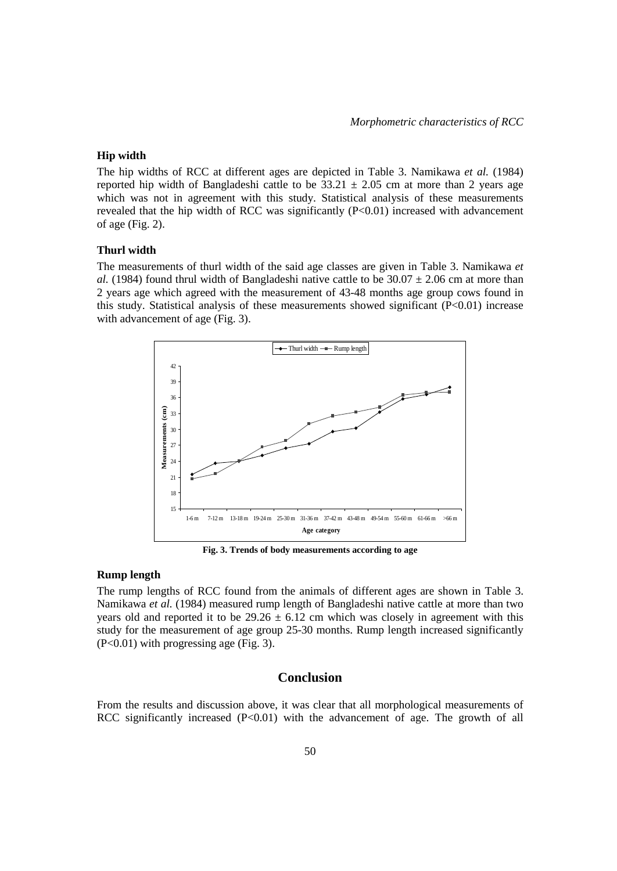#### **Hip width**

The hip widths of RCC at different ages are depicted in Table 3. Namikawa *et al.* (1984) reported hip width of Bangladeshi cattle to be  $33.21 \pm 2.05$  cm at more than 2 years age which was not in agreement with this study. Statistical analysis of these measurements revealed that the hip width of RCC was significantly  $(P<0.01)$  increased with advancement of age (Fig. 2).

# **Thurl width**

The measurements of thurl width of the said age classes are given in Table 3. Namikawa *et al.* (1984) found thrul width of Bangladeshi native cattle to be  $30.07 \pm 2.06$  cm at more than 2 years age which agreed with the measurement of 43-48 months age group cows found in this study. Statistical analysis of these measurements showed significant (P<0.01) increase with advancement of age (Fig. 3).



**Fig. 3. Trends of body measurements according to age**

#### **Rump length**

The rump lengths of RCC found from the animals of different ages are shown in Table 3. Namikawa *et al.* (1984) measured rump length of Bangladeshi native cattle at more than two years old and reported it to be  $29.26 \pm 6.12$  cm which was closely in agreement with this study for the measurement of age group 25-30 months. Rump length increased significantly (P<0.01) with progressing age (Fig. 3).

# **Conclusion**

From the results and discussion above, it was clear that all morphological measurements of RCC significantly increased (P<0.01) with the advancement of age. The growth of all